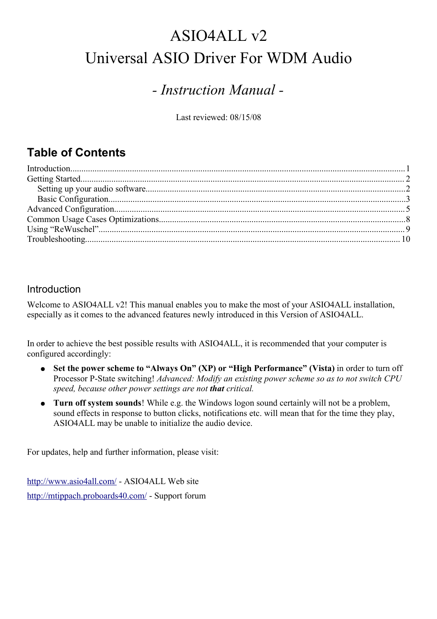# ASIO4ALL v2 Universal ASIO Driver For WDM Audio

## *- Instruction Manual -*

Last reviewed: 08/15/08

## **Table of Contents**

### Introduction

Welcome to ASIO4ALL v2! This manual enables you to make the most of your ASIO4ALL installation, especially as it comes to the advanced features newly introduced in this Version of ASIO4ALL.

In order to achieve the best possible results with ASIO4ALL, it is recommended that your computer is configured accordingly:

- **Set the power scheme to "Always On" (XP) or "High Performance" (Vista)** in order to turn off Processor P-State switching! *Advanced: Modify an existing power scheme so as to not switch CPU speed, because other power settings are not that critical.*
- **Turn off system sounds**! While e.g. the Windows logon sound certainly will not be a problem, sound effects in response to button clicks, notifications etc. will mean that for the time they play, ASIO4ALL may be unable to initialize the audio device.

For updates, help and further information, please visit:

<http://www.asio4all.com/>- ASIO4ALL Web site <http://mtippach.proboards40.com/>- Support forum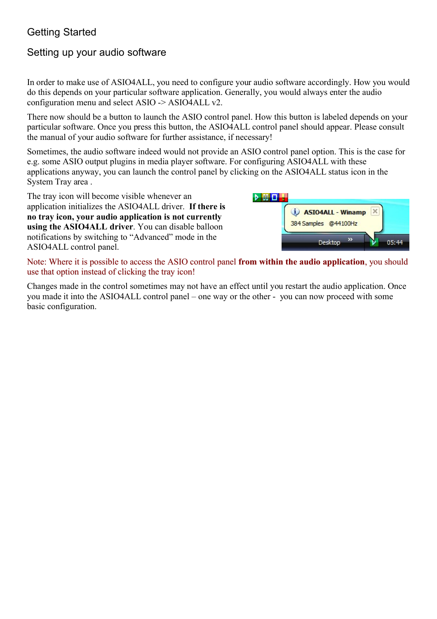## Getting Started

## Setting up your audio software

In order to make use of ASIO4ALL, you need to configure your audio software accordingly. How you would do this depends on your particular software application. Generally, you would always enter the audio configuration menu and select ASIO -> ASIO4ALL v2.

There now should be a button to launch the ASIO control panel. How this button is labeled depends on your particular software. Once you press this button, the ASIO4ALL control panel should appear. Please consult the manual of your audio software for further assistance, if necessary!

Sometimes, the audio software indeed would not provide an ASIO control panel option. This is the case for e.g. some ASIO output plugins in media player software. For configuring ASIO4ALL with these applications anyway, you can launch the control panel by clicking on the ASIO4ALL status icon in the System Tray area .

The tray icon will become visible whenever an application initializes the ASIO4ALL driver. **If there is no tray icon, your audio application is not currently using the ASIO4ALL driver**. You can disable balloon notifications by switching to "Advanced" mode in the ASIO4ALL control panel.



Note: Where it is possible to access the ASIO control panel **from within the audio application**, you should use that option instead of clicking the tray icon!

Changes made in the control sometimes may not have an effect until you restart the audio application. Once you made it into the ASIO4ALL control panel – one way or the other - you can now proceed with some basic configuration.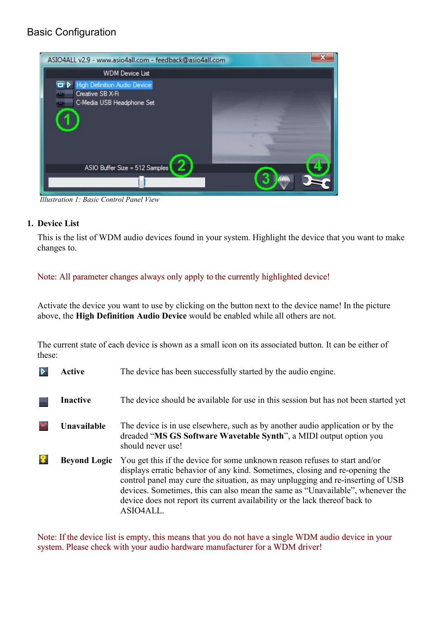## Basic Configuration



*Illustration 1: Basic Control Panel View*

#### **1. Device List**

This is the list of WDM audio devices found in your system. Highlight the device that you want to make changes to.

#### Note: All parameter changes always only apply to the currently highlighted device!

Activate the device you want to use by clicking on the button next to the device name! In the picture above, the **High Definition Audio Device** would be enabled while all others are not.

The current state of each device is shown as a small icon on its associated button. It can be either of these:

| Active              | The device has been successfully started by the audio engine.                                                                                                                                                                                                                                                                                                                                                               |
|---------------------|-----------------------------------------------------------------------------------------------------------------------------------------------------------------------------------------------------------------------------------------------------------------------------------------------------------------------------------------------------------------------------------------------------------------------------|
| <b>Inactive</b>     | The device should be available for use in this session but has not been started yet                                                                                                                                                                                                                                                                                                                                         |
| Unavailable         | The device is in use elsewhere, such as by another audio application or by the<br>dreaded "MS GS Software Wavetable Synth", a MIDI output option you<br>should never use!                                                                                                                                                                                                                                                   |
| <b>Beyond Logic</b> | You get this if the device for some unknown reason refuses to start and/or<br>displays erratic behavior of any kind. Sometimes, closing and re-opening the<br>control panel may cure the situation, as may unplugging and re-inserting of USB<br>devices. Sometimes, this can also mean the same as "Unavailable", whenever the<br>device does not report its current availability or the lack thereof back to<br>ASIO4ALL. |

Note: If the device list is empty, this means that you do not have a single WDM audio device in your system. Please check with your audio hardware manufacturer for a WDM driver!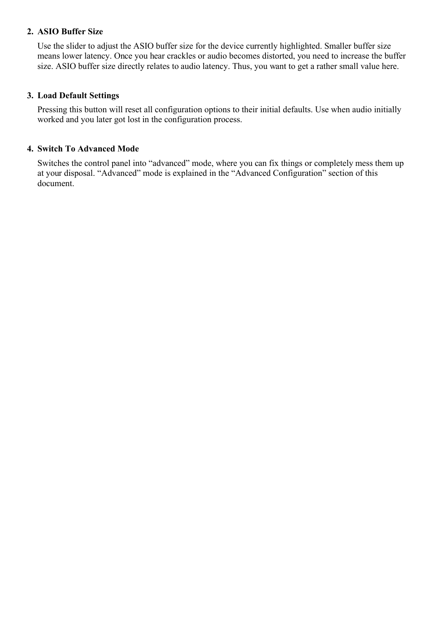#### **2. ASIO Buffer Size**

Use the slider to adjust the ASIO buffer size for the device currently highlighted. Smaller buffer size means lower latency. Once you hear crackles or audio becomes distorted, you need to increase the buffer size. ASIO buffer size directly relates to audio latency. Thus, you want to get a rather small value here.

#### **3. Load Default Settings**

Pressing this button will reset all configuration options to their initial defaults. Use when audio initially worked and you later got lost in the configuration process.

#### **4. Switch To Advanced Mode**

Switches the control panel into "advanced" mode, where you can fix things or completely mess them up at your disposal. "Advanced" mode is explained in the "Advanced Configuration" section of this document.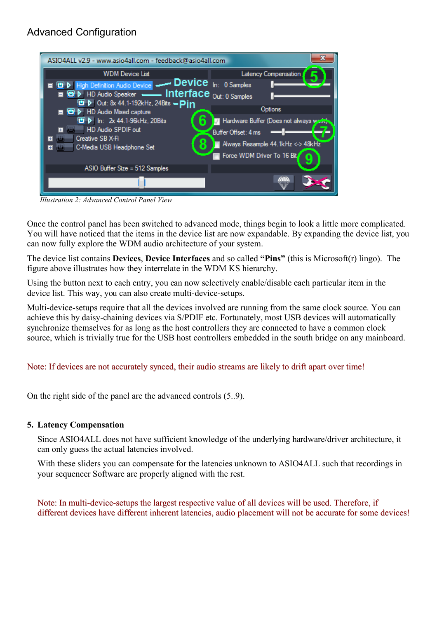## Advanced Configuration



*Illustration 2: Advanced Control Panel View*

Once the control panel has been switched to advanced mode, things begin to look a little more complicated. You will have noticed that the items in the device list are now expandable. By expanding the device list, you can now fully explore the WDM audio architecture of your system.

The device list contains **Devices**, **Device Interfaces** and so called **"Pins"** (this is Microsoft(r) lingo). The figure above illustrates how they interrelate in the WDM KS hierarchy.

Using the button next to each entry, you can now selectively enable/disable each particular item in the device list. This way, you can also create multi-device-setups.

Multi-device-setups require that all the devices involved are running from the same clock source. You can achieve this by daisy-chaining devices via S/PDIF etc. Fortunately, most USB devices will automatically synchronize themselves for as long as the host controllers they are connected to have a common clock source, which is trivially true for the USB host controllers embedded in the south bridge on any mainboard.

#### Note: If devices are not accurately synced, their audio streams are likely to drift apart over time!

On the right side of the panel are the advanced controls (5..9).

#### **5. Latency Compensation**

Since ASIO4ALL does not have sufficient knowledge of the underlying hardware/driver architecture, it can only guess the actual latencies involved.

With these sliders you can compensate for the latencies unknown to ASIO4ALL such that recordings in your sequencer Software are properly aligned with the rest.

Note: In multi-device-setups the largest respective value of all devices will be used. Therefore, if different devices have different inherent latencies, audio placement will not be accurate for some devices!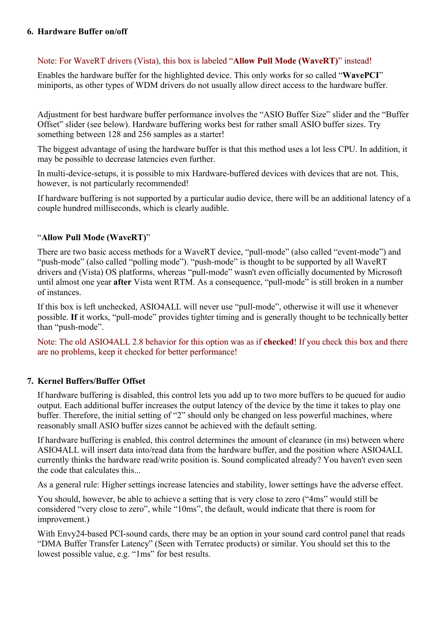#### **6. Hardware Buffer on/off**

#### Note: For WaveRT drivers (Vista), this box is labeled "**Allow Pull Mode (WaveRT**)" instead!

Enables the hardware buffer for the highlighted device. This only works for so called "**WavePCI**" miniports, as other types of WDM drivers do not usually allow direct access to the hardware buffer.

Adjustment for best hardware buffer performance involves the "ASIO Buffer Size" slider and the "Buffer Offset" slider (see below). Hardware buffering works best for rather small ASIO buffer sizes. Try something between 128 and 256 samples as a starter!

The biggest advantage of using the hardware buffer is that this method uses a lot less CPU. In addition, it may be possible to decrease latencies even further.

In multi-device-setups, it is possible to mix Hardware-buffered devices with devices that are not. This, however, is not particularly recommended!

If hardware buffering is not supported by a particular audio device, there will be an additional latency of a couple hundred milliseconds, which is clearly audible.

#### "**Allow Pull Mode (WaveRT)**"

There are two basic access methods for a WaveRT device, "pull-mode" (also called "event-mode") and "push-mode" (also called "polling mode"). "push-mode" is thought to be supported by all WaveRT drivers and (Vista) OS platforms, whereas "pull-mode" wasn't even officially documented by Microsoft until almost one year **after** Vista went RTM. As a consequence, "pull-mode" is still broken in a number of instances.

If this box is left unchecked, ASIO4ALL will never use "pull-mode", otherwise it will use it whenever possible. **If** it works, "pull-mode" provides tighter timing and is generally thought to be technically better than "push-mode".

Note: The old ASIO4ALL 2.8 behavior for this option was as if **checked**! If you check this box and there are no problems, keep it checked for better performance!

#### **7. Kernel Buffers/Buffer Offset**

If hardware buffering is disabled, this control lets you add up to two more buffers to be queued for audio output. Each additional buffer increases the output latency of the device by the time it takes to play one buffer. Therefore, the initial setting of "2" should only be changed on less powerful machines, where reasonably small ASIO buffer sizes cannot be achieved with the default setting.

If hardware buffering is enabled, this control determines the amount of clearance (in ms) between where ASIO4ALL will insert data into/read data from the hardware buffer, and the position where ASIO4ALL currently thinks the hardware read/write position is. Sound complicated already? You haven't even seen the code that calculates this...

As a general rule: Higher settings increase latencies and stability, lower settings have the adverse effect.

You should, however, be able to achieve a setting that is very close to zero ("4ms" would still be considered "very close to zero", while "10ms", the default, would indicate that there is room for improvement.)

With Envy24-based PCI-sound cards, there may be an option in your sound card control panel that reads "DMA Buffer Transfer Latency" (Seen with Terratec products) or similar. You should set this to the lowest possible value, e.g. "1ms" for best results.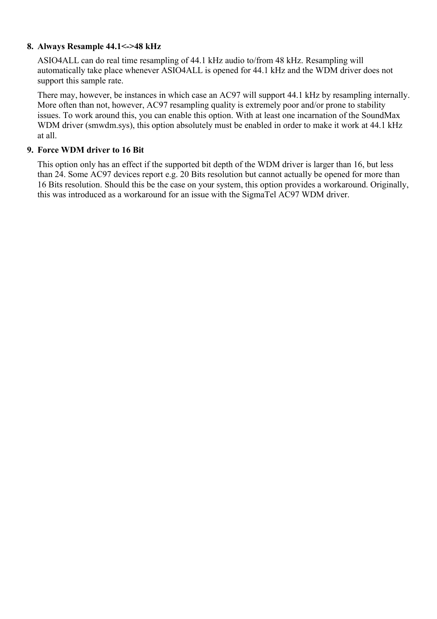#### **8. Always Resample 44.1<->48 kHz**

ASIO4ALL can do real time resampling of 44.1 kHz audio to/from 48 kHz. Resampling will automatically take place whenever ASIO4ALL is opened for 44.1 kHz and the WDM driver does not support this sample rate.

There may, however, be instances in which case an AC97 will support 44.1 kHz by resampling internally. More often than not, however, AC97 resampling quality is extremely poor and/or prone to stability issues. To work around this, you can enable this option. With at least one incarnation of the SoundMax WDM driver (smwdm.sys), this option absolutely must be enabled in order to make it work at 44.1 kHz at all.

#### **9. Force WDM driver to 16 Bit**

This option only has an effect if the supported bit depth of the WDM driver is larger than 16, but less than 24. Some AC97 devices report e.g. 20 Bits resolution but cannot actually be opened for more than 16 Bits resolution. Should this be the case on your system, this option provides a workaround. Originally, this was introduced as a workaround for an issue with the SigmaTel AC97 WDM driver.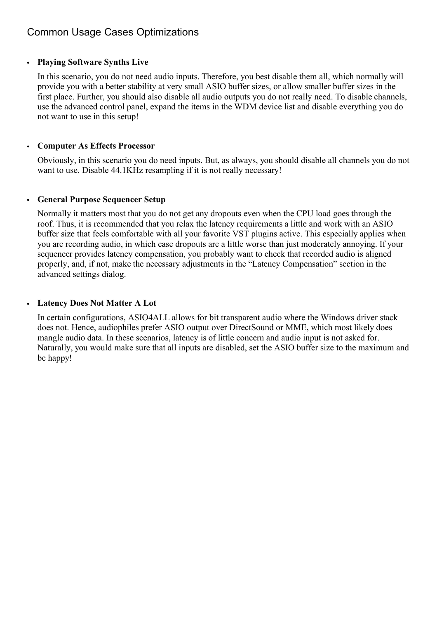## Common Usage Cases Optimizations

#### • **Playing Software Synths Live**

In this scenario, you do not need audio inputs. Therefore, you best disable them all, which normally will provide you with a better stability at very small ASIO buffer sizes, or allow smaller buffer sizes in the first place. Further, you should also disable all audio outputs you do not really need. To disable channels, use the advanced control panel, expand the items in the WDM device list and disable everything you do not want to use in this setup!

#### • **Computer As Effects Processor**

Obviously, in this scenario you do need inputs. But, as always, you should disable all channels you do not want to use. Disable 44.1KHz resampling if it is not really necessary!

#### • **General Purpose Sequencer Setup**

Normally it matters most that you do not get any dropouts even when the CPU load goes through the roof. Thus, it is recommended that you relax the latency requirements a little and work with an ASIO buffer size that feels comfortable with all your favorite VST plugins active. This especially applies when you are recording audio, in which case dropouts are a little worse than just moderately annoying. If your sequencer provides latency compensation, you probably want to check that recorded audio is aligned properly, and, if not, make the necessary adjustments in the "Latency Compensation" section in the advanced settings dialog.

#### • **Latency Does Not Matter A Lot**

In certain configurations, ASIO4ALL allows for bit transparent audio where the Windows driver stack does not. Hence, audiophiles prefer ASIO output over DirectSound or MME, which most likely does mangle audio data. In these scenarios, latency is of little concern and audio input is not asked for. Naturally, you would make sure that all inputs are disabled, set the ASIO buffer size to the maximum and be happy!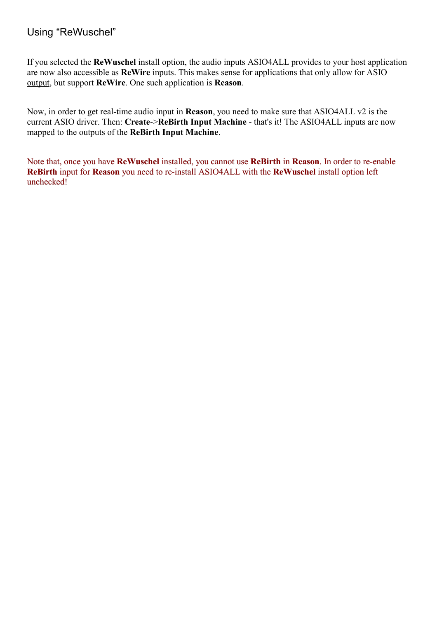## Using "ReWuschel"

If you selected the **ReWuschel** install option, the audio inputs ASIO4ALL provides to your host application are now also accessible as **ReWire** inputs. This makes sense for applications that only allow for ASIO output, but support **ReWire**. One such application is **Reason**.

Now, in order to get real-time audio input in **Reason**, you need to make sure that ASIO4ALL v2 is the current ASIO driver. Then: **Create**->**ReBirth Input Machine** - that's it! The ASIO4ALL inputs are now mapped to the outputs of the **ReBirth Input Machine**.

Note that, once you have **ReWuschel** installed, you cannot use **ReBirth** in **Reason**. In order to re-enable **ReBirth** input for **Reason** you need to re-install ASIO4ALL with the **ReWuschel** install option left unchecked!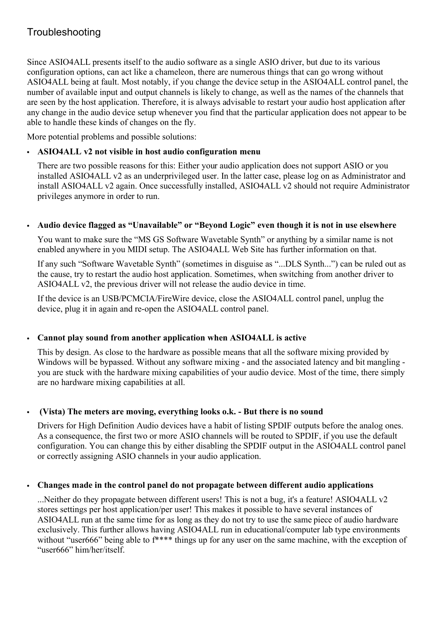Since ASIO4ALL presents itself to the audio software as a single ASIO driver, but due to its various configuration options, can act like a chameleon, there are numerous things that can go wrong without ASIO4ALL being at fault. Most notably, if you change the device setup in the ASIO4ALL control panel, the number of available input and output channels is likely to change, as well as the names of the channels that are seen by the host application. Therefore, it is always advisable to restart your audio host application after any change in the audio device setup whenever you find that the particular application does not appear to be able to handle these kinds of changes on the fly.

More potential problems and possible solutions:

#### • **ASIO4ALL v2 not visible in host audio configuration menu**

There are two possible reasons for this: Either your audio application does not support ASIO or you installed ASIO4ALL v2 as an underprivileged user. In the latter case, please log on as Administrator and install ASIO4ALL v2 again. Once successfully installed, ASIO4ALL v2 should not require Administrator privileges anymore in order to run.

#### • **Audio device flagged as "Unavailable" or "Beyond Logic" even though it is not in use elsewhere**

You want to make sure the "MS GS Software Wavetable Synth" or anything by a similar name is not enabled anywhere in you MIDI setup. The ASIO4ALL Web Site has further information on that.

If any such "Software Wavetable Synth" (sometimes in disguise as "...DLS Synth...") can be ruled out as the cause, try to restart the audio host application. Sometimes, when switching from another driver to ASIO4ALL v2, the previous driver will not release the audio device in time.

If the device is an USB/PCMCIA/FireWire device, close the ASIO4ALL control panel, unplug the device, plug it in again and re-open the ASIO4ALL control panel.

#### • **Cannot play sound from another application when ASIO4ALL is active**

This by design. As close to the hardware as possible means that all the software mixing provided by Windows will be bypassed. Without any software mixing - and the associated latency and bit mangling you are stuck with the hardware mixing capabilities of your audio device. Most of the time, there simply are no hardware mixing capabilities at all.

### • **(Vista) The meters are moving, everything looks o.k. - But there is no sound**

Drivers for High Definition Audio devices have a habit of listing SPDIF outputs before the analog ones. As a consequence, the first two or more ASIO channels will be routed to SPDIF, if you use the default configuration. You can change this by either disabling the SPDIF output in the ASIO4ALL control panel or correctly assigning ASIO channels in your audio application.

#### • **Changes made in the control panel do not propagate between different audio applications**

...Neither do they propagate between different users! This is not a bug, it's a feature! ASIO4ALL v2 stores settings per host application/per user! This makes it possible to have several instances of ASIO4ALL run at the same time for as long as they do not try to use the same piece of audio hardware exclusively. This further allows having ASIO4ALL run in educational/computer lab type environments without "user666" being able to f<sup>\*\*\*\*</sup> things up for any user on the same machine, with the exception of "user666" him/her/itself.